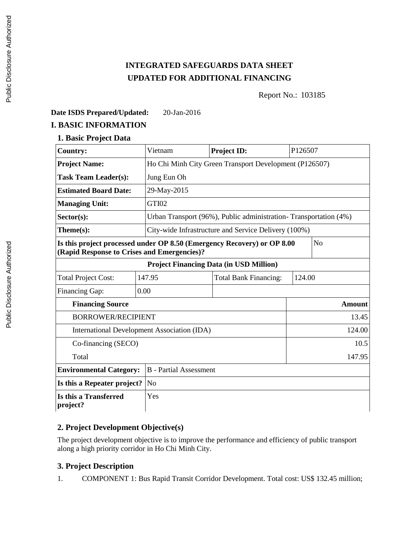# **INTEGRATED SAFEGUARDS DATA SHEET UPDATED FOR ADDITIONAL FINANCING**

Report No.: 103185

## **Date ISDS Prepared/Updated:** 20-Jan-2016

# **I. BASIC INFORMATION**

**1. Basic Project Data**

| <b>Country:</b>                                | Vietnam                                     | Project ID:                                                                               | P126507 |  |  |
|------------------------------------------------|---------------------------------------------|-------------------------------------------------------------------------------------------|---------|--|--|
| <b>Project Name:</b>                           |                                             | Ho Chi Minh City Green Transport Development (P126507)                                    |         |  |  |
| <b>Task Team Leader(s):</b>                    | Jung Eun Oh                                 |                                                                                           |         |  |  |
| <b>Estimated Board Date:</b>                   | 29-May-2015                                 |                                                                                           |         |  |  |
| <b>Managing Unit:</b>                          | GTI02                                       |                                                                                           |         |  |  |
| $Sector(s)$ :                                  |                                             | Urban Transport (96%), Public administration-Transportation (4%)                          |         |  |  |
| Theme(s):                                      |                                             | City-wide Infrastructure and Service Delivery (100%)                                      |         |  |  |
| (Rapid Response to Crises and Emergencies)?    |                                             | Is this project processed under OP 8.50 (Emergency Recovery) or OP 8.00<br>N <sub>o</sub> |         |  |  |
| <b>Project Financing Data (in USD Million)</b> |                                             |                                                                                           |         |  |  |
| <b>Total Project Cost:</b>                     | 147.95                                      | <b>Total Bank Financing:</b>                                                              | 124.00  |  |  |
| <b>Financing Gap:</b>                          | 0.00                                        |                                                                                           |         |  |  |
| <b>Financing Source</b>                        |                                             |                                                                                           | Amount  |  |  |
| <b>BORROWER/RECIPIENT</b>                      |                                             |                                                                                           | 13.45   |  |  |
|                                                | International Development Association (IDA) | 124.00                                                                                    |         |  |  |
| Co-financing (SECO)                            |                                             |                                                                                           | 10.5    |  |  |
| Total                                          |                                             |                                                                                           | 147.95  |  |  |
| <b>Environmental Category:</b>                 | <b>B</b> - Partial Assessment               |                                                                                           |         |  |  |
| Is this a Repeater project?                    | N <sub>o</sub>                              |                                                                                           |         |  |  |
| Is this a Transferred<br>project?              | Yes                                         |                                                                                           |         |  |  |

# **2. Project Development Objective(s)**

The project development objective is to improve the performance and efficiency of public transport along a high priority corridor in Ho Chi Minh City.

# **3. Project Description**

1. COMPONENT 1: Bus Rapid Transit Corridor Development. Total cost: US\$ 132.45 million;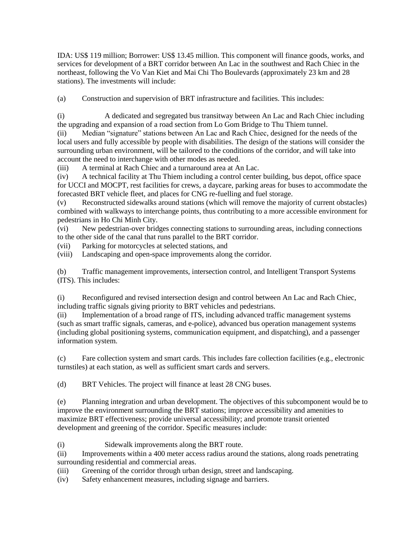IDA: US\$ 119 million; Borrower: US\$ 13.45 million. This component will finance goods, works, and services for development of a BRT corridor between An Lac in the southwest and Rach Chiec in the northeast, following the Vo Van Kiet and Mai Chi Tho Boulevards (approximately 23 km and 28 stations). The investments will include:

(a) Construction and supervision of BRT infrastructure and facilities. This includes:

(i) A dedicated and segregated bus transitway between An Lac and Rach Chiec including the upgrading and expansion of a road section from Lo Gom Bridge to Thu Thiem tunnel.

(ii) Median "signature" stations between An Lac and Rach Chiec, designed for the needs of the local users and fully accessible by people with disabilities. The design of the stations will consider the surrounding urban environment, will be tailored to the conditions of the corridor, and will take into account the need to interchange with other modes as needed.

(iii) A terminal at Rach Chiec and a turnaround area at An Lac.

(iv) A technical facility at Thu Thiem including a control center building, bus depot, office space for UCCI and MOCPT, rest facilities for crews, a daycare, parking areas for buses to accommodate the forecasted BRT vehicle fleet, and places for CNG re-fuelling and fuel storage.

(v) Reconstructed sidewalks around stations (which will remove the majority of current obstacles) combined with walkways to interchange points, thus contributing to a more accessible environment for pedestrians in Ho Chi Minh City.<br>(vi) New pedestrian-over brid

New pedestrian-over bridges connecting stations to surrounding areas, including connections to the other side of the canal that runs parallel to the BRT corridor.

(vii) Parking for motorcycles at selected stations, and

(viii) Landscaping and open-space improvements along the corridor.

(b) Traffic management improvements, intersection control, and Intelligent Transport Systems (ITS). This includes:

(i) Reconfigured and revised intersection design and control between An Lac and Rach Chiec, including traffic signals giving priority to BRT vehicles and pedestrians.

(ii) Implementation of a broad range of ITS, including advanced traffic management systems (such as smart traffic signals, cameras, and e-police), advanced bus operation management systems (including global positioning systems, communication equipment, and dispatching), and a passenger information system.

(c) Fare collection system and smart cards. This includes fare collection facilities (e.g., electronic turnstiles) at each station, as well as sufficient smart cards and servers.

(d) BRT Vehicles. The project will finance at least 28 CNG buses.

(e) Planning integration and urban development. The objectives of this subcomponent would be to improve the environment surrounding the BRT stations; improve accessibility and amenities to maximize BRT effectiveness; provide universal accessibility; and promote transit oriented development and greening of the corridor. Specific measures include:

(i) Sidewalk improvements along the BRT route.

(ii) Improvements within a 400 meter access radius around the stations, along roads penetrating surrounding residential and commercial areas.

(iii) Greening of the corridor through urban design, street and landscaping.

(iv) Safety enhancement measures, including signage and barriers.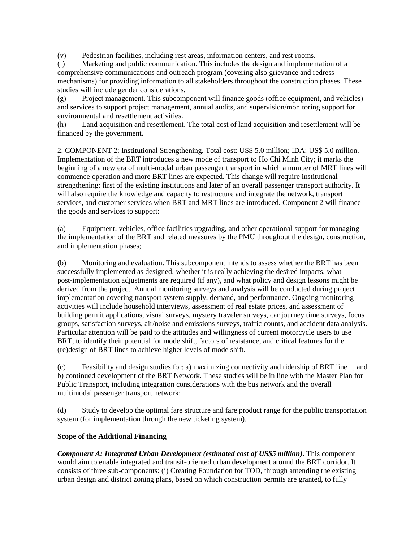(v) Pedestrian facilities, including rest areas, information centers, and rest rooms.

(f) Marketing and public communication. This includes the design and implementation of a comprehensive communications and outreach program (covering also grievance and redress mechanisms) for providing information to all stakeholders throughout the construction phases. These studies will include gender considerations.

(g) Project management. This subcomponent will finance goods (office equipment, and vehicles) and services to support project management, annual audits, and supervision/monitoring support for environmental and resettlement activities.

(h) Land acquisition and resettlement. The total cost of land acquisition and resettlement will be financed by the government.

2. COMPONENT 2: Institutional Strengthening. Total cost: US\$ 5.0 million; IDA: US\$ 5.0 million. Implementation of the BRT introduces a new mode of transport to Ho Chi Minh City; it marks the beginning of a new era of multi-modal urban passenger transport in which a number of MRT lines will commence operation and more BRT lines are expected. This change will require institutional strengthening: first of the existing institutions and later of an overall passenger transport authority. It will also require the knowledge and capacity to restructure and integrate the network, transport services, and customer services when BRT and MRT lines are introduced. Component 2 will finance the goods and services to support:

(a) Equipment, vehicles, office facilities upgrading, and other operational support for managing the implementation of the BRT and related measures by the PMU throughout the design, construction, and implementation phases;

(b) Monitoring and evaluation. This subcomponent intends to assess whether the BRT has been successfully implemented as designed, whether it is really achieving the desired impacts, what post-implementation adjustments are required (if any), and what policy and design lessons might be derived from the project. Annual monitoring surveys and analysis will be conducted during project implementation covering transport system supply, demand, and performance. Ongoing monitoring activities will include household interviews, assessment of real estate prices, and assessment of building permit applications, visual surveys, mystery traveler surveys, car journey time surveys, focus groups, satisfaction surveys, air/noise and emissions surveys, traffic counts, and accident data analysis. Particular attention will be paid to the attitudes and willingness of current motorcycle users to use BRT, to identify their potential for mode shift, factors of resistance, and critical features for the (re)design of BRT lines to achieve higher levels of mode shift.

(c) Feasibility and design studies for: a) maximizing connectivity and ridership of BRT line 1, and b) continued development of the BRT Network. These studies will be in line with the Master Plan for Public Transport, including integration considerations with the bus network and the overall multimodal passenger transport network;

(d) Study to develop the optimal fare structure and fare product range for the public transportation system (for implementation through the new ticketing system).

## **Scope of the Additional Financing**

*Component A: Integrated Urban Development (estimated cost of US\$5 million)*. This component would aim to enable integrated and transit-oriented urban development around the BRT corridor. It consists of three sub-components: (i) Creating Foundation for TOD, through amending the existing urban design and district zoning plans, based on which construction permits are granted, to fully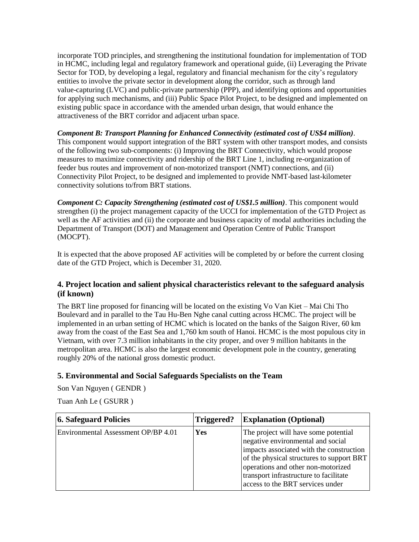incorporate TOD principles, and strengthening the institutional foundation for implementation of TOD in HCMC, including legal and regulatory framework and operational guide, (ii) Leveraging the Private Sector for TOD, by developing a legal, regulatory and financial mechanism for the city's regulatory entities to involve the private sector in development along the corridor, such as through land value-capturing (LVC) and public-private partnership (PPP), and identifying options and opportunities for applying such mechanisms, and (iii) Public Space Pilot Project, to be designed and implemented on existing public space in accordance with the amended urban design, that would enhance the attractiveness of the BRT corridor and adjacent urban space.

*Component B: Transport Planning for Enhanced Connectivity (estimated cost of US\$4 million)*. This component would support integration of the BRT system with other transport modes, and consists of the following two sub-components: (i) Improving the BRT Connectivity, which would propose measures to maximize connectivity and ridership of the BRT Line 1, including re-organization of feeder bus routes and improvement of non-motorized transport (NMT) connections, and (ii) Connectivity Pilot Project, to be designed and implemented to provide NMT-based last-kilometer connectivity solutions to/from BRT stations.

*Component C: Capacity Strengthening (estimated cost of US\$1.5 million)*. This component would strengthen (i) the project management capacity of the UCCI for implementation of the GTD Project as well as the AF activities and (ii) the corporate and business capacity of modal authorities including the Department of Transport (DOT) and Management and Operation Centre of Public Transport (MOCPT).

It is expected that the above proposed AF activities will be completed by or before the current closing date of the GTD Project, which is December 31, 2020.

## **4. Project location and salient physical characteristics relevant to the safeguard analysis (if known)**

The BRT line proposed for financing will be located on the existing Vo Van Kiet – Mai Chi Tho Boulevard and in parallel to the Tau Hu-Ben Nghe canal cutting across HCMC. The project will be implemented in an urban setting of HCMC which is located on the banks of the Saigon River, 60 km away from the coast of the East Sea and 1,760 km south of Hanoi. HCMC is the most populous city in Vietnam, with over 7.3 million inhabitants in the city proper, and over 9 million habitants in the metropolitan area. HCMC is also the largest economic development pole in the country, generating roughly 20% of the national gross domestic product.

## **5. Environmental and Social Safeguards Specialists on the Team**

Son Van Nguyen ( GENDR )

| 6. Safeguard Policies               | Triggered? | <b>Explanation (Optional)</b>                                                                                                                                                                                                                                                          |
|-------------------------------------|------------|----------------------------------------------------------------------------------------------------------------------------------------------------------------------------------------------------------------------------------------------------------------------------------------|
| Environmental Assessment OP/BP 4.01 | Yes        | The project will have some potential<br>negative environmental and social<br>impacts associated with the construction<br>of the physical structures to support BRT<br>operations and other non-motorized<br>transport infrastructure to facilitate<br>access to the BRT services under |

Tuan Anh Le ( GSURR )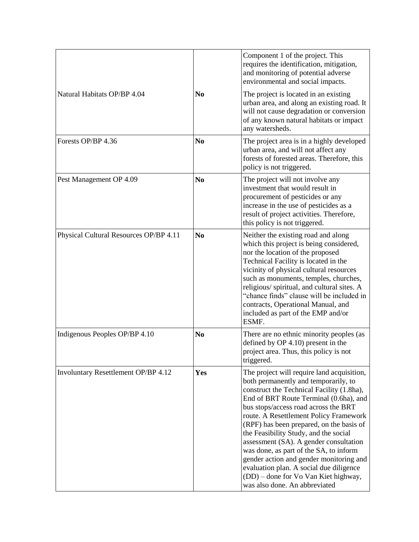|                                        |                | Component 1 of the project. This<br>requires the identification, mitigation,<br>and monitoring of potential adverse<br>environmental and social impacts.                                                                                                                                                                                                                                                                                                                                                                                                                                            |
|----------------------------------------|----------------|-----------------------------------------------------------------------------------------------------------------------------------------------------------------------------------------------------------------------------------------------------------------------------------------------------------------------------------------------------------------------------------------------------------------------------------------------------------------------------------------------------------------------------------------------------------------------------------------------------|
| Natural Habitats OP/BP 4.04            | N <sub>0</sub> | The project is located in an existing<br>urban area, and along an existing road. It<br>will not cause degradation or conversion<br>of any known natural habitats or impact<br>any watersheds.                                                                                                                                                                                                                                                                                                                                                                                                       |
| Forests OP/BP 4.36                     | N <sub>0</sub> | The project area is in a highly developed<br>urban area, and will not affect any<br>forests of forested areas. Therefore, this<br>policy is not triggered.                                                                                                                                                                                                                                                                                                                                                                                                                                          |
| Pest Management OP 4.09                | N <sub>0</sub> | The project will not involve any<br>investment that would result in<br>procurement of pesticides or any<br>increase in the use of pesticides as a<br>result of project activities. Therefore,<br>this policy is not triggered.                                                                                                                                                                                                                                                                                                                                                                      |
| Physical Cultural Resources OP/BP 4.11 | N <sub>0</sub> | Neither the existing road and along<br>which this project is being considered,<br>nor the location of the proposed<br>Technical Facility is located in the<br>vicinity of physical cultural resources<br>such as monuments, temples, churches,<br>religious/spiritual, and cultural sites. A<br>"chance finds" clause will be included in<br>contracts, Operational Manual, and<br>included as part of the EMP and/or<br>ESMF.                                                                                                                                                                      |
| Indigenous Peoples OP/BP 4.10          | N <sub>0</sub> | There are no ethnic minority peoples (as<br>defined by OP 4.10) present in the<br>project area. Thus, this policy is not<br>triggered.                                                                                                                                                                                                                                                                                                                                                                                                                                                              |
| Involuntary Resettlement OP/BP 4.12    | Yes            | The project will require land acquisition,<br>both permanently and temporarily, to<br>construct the Technical Facility (1.8ha),<br>End of BRT Route Terminal (0.6ha), and<br>bus stops/access road across the BRT<br>route. A Resettlement Policy Framework<br>(RPF) has been prepared, on the basis of<br>the Feasibility Study, and the social<br>assessment (SA). A gender consultation<br>was done, as part of the SA, to inform<br>gender action and gender monitoring and<br>evaluation plan. A social due diligence<br>(DD) – done for Vo Van Kiet highway,<br>was also done. An abbreviated |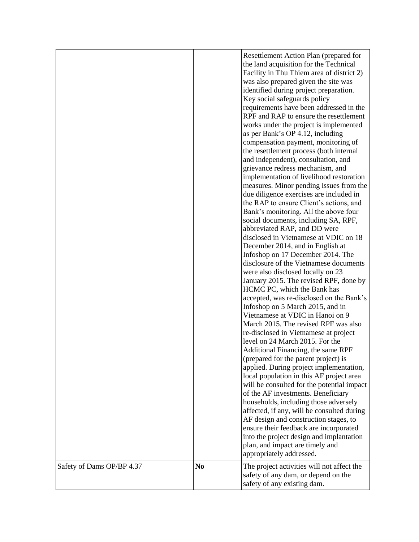|                           |                | Resettlement Action Plan (prepared for<br>the land acquisition for the Technical<br>Facility in Thu Thiem area of district 2)<br>was also prepared given the site was<br>identified during project preparation.<br>Key social safeguards policy<br>requirements have been addressed in the<br>RPF and RAP to ensure the resettlement<br>works under the project is implemented<br>as per Bank's OP 4.12, including<br>compensation payment, monitoring of<br>the resettlement process (both internal<br>and independent), consultation, and<br>grievance redress mechanism, and<br>implementation of livelihood restoration<br>measures. Minor pending issues from the<br>due diligence exercises are included in<br>the RAP to ensure Client's actions, and<br>Bank's monitoring. All the above four<br>social documents, including SA, RPF,<br>abbreviated RAP, and DD were<br>disclosed in Vietnamese at VDIC on 18<br>December 2014, and in English at<br>Infoshop on 17 December 2014. The<br>disclosure of the Vietnamese documents<br>were also disclosed locally on 23<br>January 2015. The revised RPF, done by<br>HCMC PC, which the Bank has<br>accepted, was re-disclosed on the Bank's<br>Infoshop on 5 March 2015, and in<br>Vietnamese at VDIC in Hanoi on 9<br>March 2015. The revised RPF was also<br>re-disclosed in Vietnamese at project<br>level on 24 March 2015. For the<br>Additional Financing, the same RPF<br>(prepared for the parent project) is<br>applied. During project implementation,<br>local population in this AF project area<br>will be consulted for the potential impact<br>of the AF investments. Beneficiary<br>households, including those adversely<br>affected, if any, will be consulted during<br>AF design and construction stages, to<br>ensure their feedback are incorporated<br>into the project design and implantation<br>plan, and impact are timely and<br>appropriately addressed. |
|---------------------------|----------------|-----------------------------------------------------------------------------------------------------------------------------------------------------------------------------------------------------------------------------------------------------------------------------------------------------------------------------------------------------------------------------------------------------------------------------------------------------------------------------------------------------------------------------------------------------------------------------------------------------------------------------------------------------------------------------------------------------------------------------------------------------------------------------------------------------------------------------------------------------------------------------------------------------------------------------------------------------------------------------------------------------------------------------------------------------------------------------------------------------------------------------------------------------------------------------------------------------------------------------------------------------------------------------------------------------------------------------------------------------------------------------------------------------------------------------------------------------------------------------------------------------------------------------------------------------------------------------------------------------------------------------------------------------------------------------------------------------------------------------------------------------------------------------------------------------------------------------------------------------------------------------------------------------------------------------------------------|
| Safety of Dams OP/BP 4.37 | N <sub>0</sub> | The project activities will not affect the<br>safety of any dam, or depend on the<br>safety of any existing dam.                                                                                                                                                                                                                                                                                                                                                                                                                                                                                                                                                                                                                                                                                                                                                                                                                                                                                                                                                                                                                                                                                                                                                                                                                                                                                                                                                                                                                                                                                                                                                                                                                                                                                                                                                                                                                              |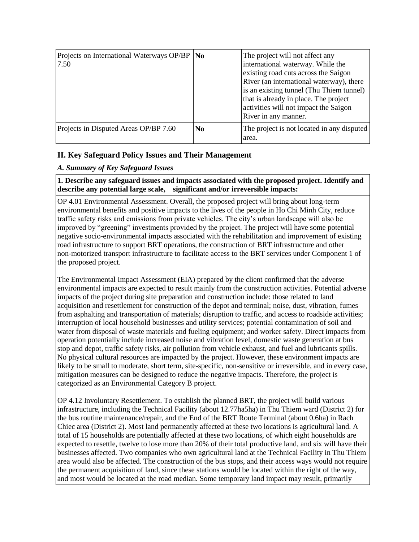| Projects on International Waterways OP/BP   No<br>7.50 |                | The project will not affect any<br>international waterway. While the<br>existing road cuts across the Saigon<br>River (an international waterway), there<br>is an existing tunnel (Thu Thiem tunnel)<br>that is already in place. The project<br>activities will not impact the Saigon<br>River in any manner. |
|--------------------------------------------------------|----------------|----------------------------------------------------------------------------------------------------------------------------------------------------------------------------------------------------------------------------------------------------------------------------------------------------------------|
| Projects in Disputed Areas OP/BP 7.60                  | N <sub>0</sub> | The project is not located in any disputed<br>area.                                                                                                                                                                                                                                                            |

# **II. Key Safeguard Policy Issues and Their Management**

# *A. Summary of Key Safeguard Issues*

## **1. Describe any safeguard issues and impacts associated with the proposed project. Identify and describe any potential large scale, significant and/or irreversible impacts:**

OP 4.01 Environmental Assessment. Overall, the proposed project will bring about long-term environmental benefits and positive impacts to the lives of the people in Ho Chi Minh City, reduce traffic safety risks and emissions from private vehicles. The city's urban landscape will also be improved by "greening" investments provided by the project. The project will have some potential negative socio-environmental impacts associated with the rehabilitation and improvement of existing road infrastructure to support BRT operations, the construction of BRT infrastructure and other non-motorized transport infrastructure to facilitate access to the BRT services under Component 1 of the proposed project.

The Environmental Impact Assessment (EIA) prepared by the client confirmed that the adverse environmental impacts are expected to result mainly from the construction activities. Potential adverse impacts of the project during site preparation and construction include: those related to land acquisition and resettlement for construction of the depot and terminal; noise, dust, vibration, fumes from asphalting and transportation of materials; disruption to traffic, and access to roadside activities; interruption of local household businesses and utility services; potential contamination of soil and water from disposal of waste materials and fueling equipment; and worker safety. Direct impacts from operation potentially include increased noise and vibration level, domestic waste generation at bus stop and depot, traffic safety risks, air pollution from vehicle exhaust, and fuel and lubricants spills. No physical cultural resources are impacted by the project. However, these environment impacts are likely to be small to moderate, short term, site-specific, non-sensitive or irreversible, and in every case, mitigation measures can be designed to reduce the negative impacts. Therefore, the project is categorized as an Environmental Category B project.

OP 4.12 Involuntary Resettlement. To establish the planned BRT, the project will build various infrastructure, including the Technical Facility (about 12.77ha5ha) in Thu Thiem ward (District 2) for the bus routine maintenance/repair, and the End of the BRT Route Terminal (about 0.6ha) in Rach Chiec area (District 2). Most land permanently affected at these two locations is agricultural land. A total of 15 households are potentially affected at these two locations, of which eight households are expected to resettle, twelve to lose more than 20% of their total productive land, and six will have their businesses affected. Two companies who own agricultural land at the Technical Facility in Thu Thiem area would also be affected. The construction of the bus stops, and their access ways would not require the permanent acquisition of land, since these stations would be located within the right of the way, and most would be located at the road median. Some temporary land impact may result, primarily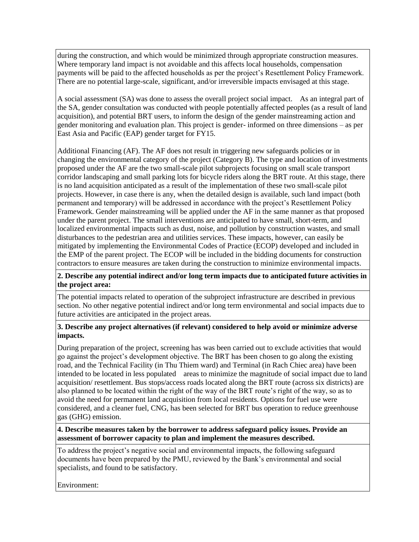during the construction, and which would be minimized through appropriate construction measures. Where temporary land impact is not avoidable and this affects local households, compensation payments will be paid to the affected households as per the project's Resettlement Policy Framework. There are no potential large-scale, significant, and/or irreversible impacts envisaged at this stage.

A social assessment (SA) was done to assess the overall project social impact. As an integral part of the SA, gender consultation was conducted with people potentially affected peoples (as a result of land acquisition), and potential BRT users, to inform the design of the gender mainstreaming action and gender monitoring and evaluation plan. This project is gender- informed on three dimensions – as per East Asia and Pacific (EAP) gender target for FY15.

Additional Financing (AF). The AF does not result in triggering new safeguards policies or in changing the environmental category of the project (Category B). The type and location of investments proposed under the AF are the two small-scale pilot subprojects focusing on small scale transport corridor landscaping and small parking lots for bicycle riders along the BRT route. At this stage, there is no land acquisition anticipated as a result of the implementation of these two small-scale pilot projects. However, in case there is any, when the detailed design is available, such land impact (both permanent and temporary) will be addressed in accordance with the project's Resettlement Policy Framework. Gender mainstreaming will be applied under the AF in the same manner as that proposed under the parent project. The small interventions are anticipated to have small, short-term, and localized environmental impacts such as dust, noise, and pollution by construction wastes, and small disturbances to the pedestrian area and utilities services. These impacts, however, can easily be mitigated by implementing the Environmental Codes of Practice (ECOP) developed and included in the EMP of the parent project. The ECOP will be included in the bidding documents for construction contractors to ensure measures are taken during the construction to minimize environmental impacts.

#### **2. Describe any potential indirect and/or long term impacts due to anticipated future activities in the project area:**

The potential impacts related to operation of the subproject infrastructure are described in previous section. No other negative potential indirect and/or long term environmental and social impacts due to future activities are anticipated in the project areas.

#### **3. Describe any project alternatives (if relevant) considered to help avoid or minimize adverse impacts.**

During preparation of the project, screening has was been carried out to exclude activities that would go against the project's development objective. The BRT has been chosen to go along the existing road, and the Technical Facility (in Thu Thiem ward) and Terminal (in Rach Chiec area) have been intended to be located in less populated areas to minimize the magnitude of social impact due to land acquisition/ resettlement. Bus stops/access roads located along the BRT route (across six districts) are also planned to be located within the right of the way of the BRT route's right of the way, so as to avoid the need for permanent land acquisition from local residents. Options for fuel use were considered, and a cleaner fuel, CNG, has been selected for BRT bus operation to reduce greenhouse gas (GHG) emission.

#### **4. Describe measures taken by the borrower to address safeguard policy issues. Provide an assessment of borrower capacity to plan and implement the measures described.**

To address the project's negative social and environmental impacts, the following safeguard documents have been prepared by the PMU, reviewed by the Bank's environmental and social specialists, and found to be satisfactory.

Environment: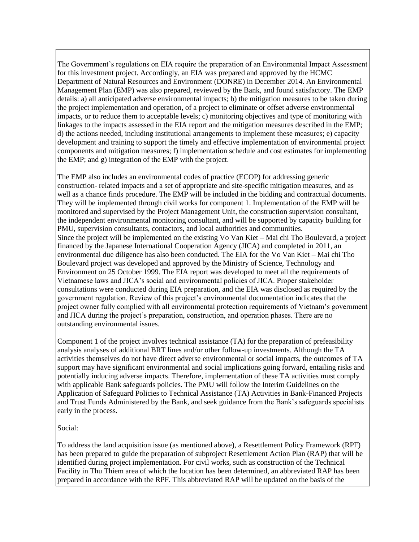The Government's regulations on EIA require the preparation of an Environmental Impact Assessment for this investment project. Accordingly, an EIA was prepared and approved by the HCMC Department of Natural Resources and Environment (DONRE) in December 2014. An Environmental Management Plan (EMP) was also prepared, reviewed by the Bank, and found satisfactory. The EMP details: a) all anticipated adverse environmental impacts; b) the mitigation measures to be taken during the project implementation and operation, of a project to eliminate or offset adverse environmental impacts, or to reduce them to acceptable levels; c) monitoring objectives and type of monitoring with linkages to the impacts assessed in the EIA report and the mitigation measures described in the EMP; d) the actions needed, including institutional arrangements to implement these measures; e) capacity development and training to support the timely and effective implementation of environmental project components and mitigation measures; f) implementation schedule and cost estimates for implementing the EMP; and g) integration of the EMP with the project.

The EMP also includes an environmental codes of practice (ECOP) for addressing generic construction- related impacts and a set of appropriate and site-specific mitigation measures, and as well as a chance finds procedure. The EMP will be included in the bidding and contractual documents. They will be implemented through civil works for component 1. Implementation of the EMP will be monitored and supervised by the Project Management Unit, the construction supervision consultant, the independent environmental monitoring consultant, and will be supported by capacity building for PMU, supervision consultants, contactors, and local authorities and communities. Since the project will be implemented on the existing Vo Van Kiet – Mai chi Tho Boulevard, a project financed by the Japanese International Cooperation Agency (JICA) and completed in 2011, an environmental due diligence has also been conducted. The EIA for the Vo Van Kiet – Mai chi Tho Boulevard project was developed and approved by the Ministry of Science, Technology and Environment on 25 October 1999. The EIA report was developed to meet all the requirements of Vietnamese laws and JICA's social and environmental policies of JICA. Proper stakeholder consultations were conducted during EIA preparation, and the EIA was disclosed as required by the government regulation. Review of this project's environmental documentation indicates that the project owner fully complied with all environmental protection requirements of Vietnam's government and JICA during the project's preparation, construction, and operation phases. There are no outstanding environmental issues.

Component 1 of the project involves technical assistance (TA) for the preparation of prefeasibility analysis analyses of additional BRT lines and/or other follow-up investments. Although the TA activities themselves do not have direct adverse environmental or social impacts, the outcomes of TA support may have significant environmental and social implications going forward, entailing risks and potentially inducing adverse impacts. Therefore, implementation of these TA activities must comply with applicable Bank safeguards policies. The PMU will follow the Interim Guidelines on the Application of Safeguard Policies to Technical Assistance (TA) Activities in Bank-Financed Projects and Trust Funds Administered by the Bank, and seek guidance from the Bank's safeguards specialists early in the process.

#### Social:

To address the land acquisition issue (as mentioned above), a Resettlement Policy Framework (RPF) has been prepared to guide the preparation of subproject Resettlement Action Plan (RAP) that will be identified during project implementation. For civil works, such as construction of the Technical Facility in Thu Thiem area of which the location has been determined, an abbreviated RAP has been prepared in accordance with the RPF. This abbreviated RAP will be updated on the basis of the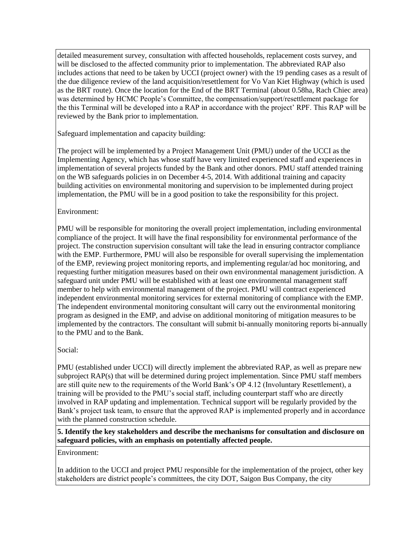detailed measurement survey, consultation with affected households, replacement costs survey, and will be disclosed to the affected community prior to implementation. The abbreviated RAP also includes actions that need to be taken by UCCI (project owner) with the 19 pending cases as a result of the due diligence review of the land acquisition/resettlement for Vo Van Kiet Highway (which is used as the BRT route). Once the location for the End of the BRT Terminal (about 0.58ha, Rach Chiec area) was determined by HCMC People's Committee, the compensation/support/resettlement package for the this Terminal will be developed into a RAP in accordance with the project' RPF. This RAP will be reviewed by the Bank prior to implementation.

Safeguard implementation and capacity building:

The project will be implemented by a Project Management Unit (PMU) under of the UCCI as the Implementing Agency, which has whose staff have very limited experienced staff and experiences in implementation of several projects funded by the Bank and other donors. PMU staff attended training on the WB safeguards policies in on December 4-5, 2014. With additional training and capacity building activities on environmental monitoring and supervision to be implemented during project implementation, the PMU will be in a good position to take the responsibility for this project.

#### Environment:

PMU will be responsible for monitoring the overall project implementation, including environmental compliance of the project. It will have the final responsibility for environmental performance of the project. The construction supervision consultant will take the lead in ensuring contractor compliance with the EMP. Furthermore, PMU will also be responsible for overall supervising the implementation of the EMP, reviewing project monitoring reports, and implementing regular/ad hoc monitoring, and requesting further mitigation measures based on their own environmental management jurisdiction. A safeguard unit under PMU will be established with at least one environmental management staff member to help with environmental management of the project. PMU will contract experienced independent environmental monitoring services for external monitoring of compliance with the EMP. The independent environmental monitoring consultant will carry out the environmental monitoring program as designed in the EMP, and advise on additional monitoring of mitigation measures to be implemented by the contractors. The consultant will submit bi-annually monitoring reports bi-annually to the PMU and to the Bank.

## Social:

PMU (established under UCCI) will directly implement the abbreviated RAP, as well as prepare new subproject RAP(s) that will be determined during project implementation. Since PMU staff members are still quite new to the requirements of the World Bank's OP 4.12 (Involuntary Resettlement), a training will be provided to the PMU's social staff, including counterpart staff who are directly involved in RAP updating and implementation. Technical support will be regularly provided by the Bank's project task team, to ensure that the approved RAP is implemented properly and in accordance with the planned construction schedule.

**5. Identify the key stakeholders and describe the mechanisms for consultation and disclosure on safeguard policies, with an emphasis on potentially affected people.**

Environment:

In addition to the UCCI and project PMU responsible for the implementation of the project, other key stakeholders are district people's committees, the city DOT, Saigon Bus Company, the city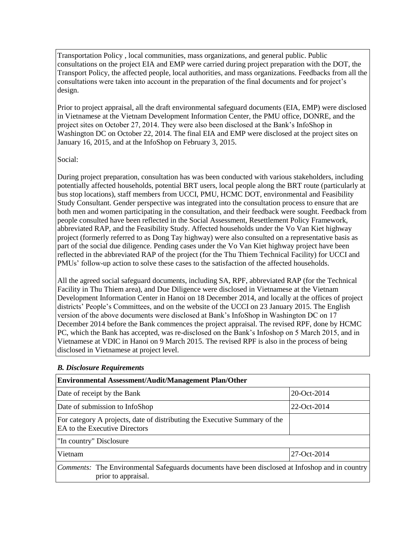Transportation Policy , local communities, mass organizations, and general public. Public consultations on the project EIA and EMP were carried during project preparation with the DOT, the Transport Policy, the affected people, local authorities, and mass organizations. Feedbacks from all the consultations were taken into account in the preparation of the final documents and for project's design.

Prior to project appraisal, all the draft environmental safeguard documents (EIA, EMP) were disclosed in Vietnamese at the Vietnam Development Information Center, the PMU office, DONRE, and the project sites on October 27, 2014. They were also been disclosed at the Bank's InfoShop in Washington DC on October 22, 2014. The final EIA and EMP were disclosed at the project sites on January 16, 2015, and at the InfoShop on February 3, 2015.

#### Social:

During project preparation, consultation has was been conducted with various stakeholders, including potentially affected households, potential BRT users, local people along the BRT route (particularly at bus stop locations), staff members from UCCI, PMU, HCMC DOT, environmental and Feasibility Study Consultant. Gender perspective was integrated into the consultation process to ensure that are both men and women participating in the consultation, and their feedback were sought. Feedback from people consulted have been reflected in the Social Assessment, Resettlement Policy Framework, abbreviated RAP, and the Feasibility Study. Affected households under the Vo Van Kiet highway project (formerly referred to as Dong Tay highway) were also consulted on a representative basis as part of the social due diligence. Pending cases under the Vo Van Kiet highway project have been reflected in the abbreviated RAP of the project (for the Thu Thiem Technical Facility) for UCCI and PMUs' follow-up action to solve these cases to the satisfaction of the affected households.

All the agreed social safeguard documents, including SA, RPF, abbreviated RAP (for the Technical Facility in Thu Thiem area), and Due Diligence were disclosed in Vietnamese at the Vietnam Development Information Center in Hanoi on 18 December 2014, and locally at the offices of project districts' People's Committees, and on the website of the UCCI on 23 January 2015. The English version of the above documents were disclosed at Bank's InfoShop in Washington DC on 17 December 2014 before the Bank commences the project appraisal. The revised RPF, done by HCMC PC, which the Bank has accepted, was re-disclosed on the Bank's Infoshop on 5 March 2015, and in Vietnamese at VDIC in Hanoi on 9 March 2015. The revised RPF is also in the process of being disclosed in Vietnamese at project level.

#### *B. Disclosure Requirements*

| <b>Environmental Assessment/Audit/Management Plan/Other</b>                                                                   |               |
|-------------------------------------------------------------------------------------------------------------------------------|---------------|
| Date of receipt by the Bank                                                                                                   | 20-Oct-2014   |
| Date of submission to InfoShop                                                                                                | $22-Oct-2014$ |
| For category A projects, date of distributing the Executive Summary of the<br>EA to the Executive Directors                   |               |
| "In country" Disclosure                                                                                                       |               |
| Vietnam                                                                                                                       | 27-Oct-2014   |
| <i>Comments:</i> The Environmental Safeguards documents have been disclosed at Infoshop and in country<br>prior to appraisal. |               |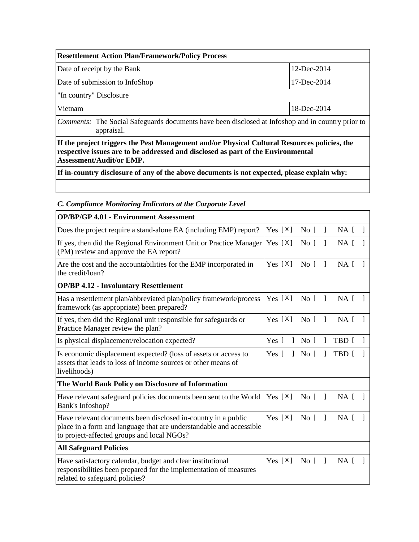| <b>Resettlement Action Plan/Framework/Policy Process</b> |             |
|----------------------------------------------------------|-------------|
| Date of receipt by the Bank                              | 12-Dec-2014 |
| Date of submission to InfoShop                           | 17-Dec-2014 |
| "In country" Disclosure                                  |             |
| Vietnam                                                  | 18-Dec-2014 |
| $\tilde{\phantom{a}}$<br>---                             |             |

*Comments:* The Social Safeguards documents have been disclosed at Infoshop and in country prior to appraisal.

**If the project triggers the Pest Management and/or Physical Cultural Resources policies, the respective issues are to be addressed and disclosed as part of the Environmental Assessment/Audit/or EMP.**

**If in-country disclosure of any of the above documents is not expected, please explain why:**

| C. Compliance mondoring mateuors at the Corporate Level                                                                                                                            |                       |                 |    |       |                |
|------------------------------------------------------------------------------------------------------------------------------------------------------------------------------------|-----------------------|-----------------|----|-------|----------------|
| <b>OP/BP/GP 4.01 - Environment Assessment</b>                                                                                                                                      |                       |                 |    |       |                |
| Does the project require a stand-alone EA (including EMP) report?                                                                                                                  | Yes $[X]$             | No [            | 1  | NA [  |                |
| If yes, then did the Regional Environment Unit or Practice Manager<br>(PM) review and approve the EA report?                                                                       | Yes $[X]$             | No [            | 1  | NA [  |                |
| Are the cost and the accountabilities for the EMP incorporated in<br>the credit/loan?                                                                                              | Yes $[X]$             | No <sub>1</sub> | -1 | NA [  |                |
| <b>OP/BP 4.12 - Involuntary Resettlement</b>                                                                                                                                       |                       |                 |    |       |                |
| Has a resettlement plan/abbreviated plan/policy framework/process<br>framework (as appropriate) been prepared?                                                                     | Yes $[X]$             | No [            | 1  | NA [  |                |
| If yes, then did the Regional unit responsible for safeguards or<br>Practice Manager review the plan?                                                                              | Yes $[X]$             | No I            | -1 | NA I  | -1             |
| Is physical displacement/relocation expected?                                                                                                                                      | Yes [<br>-1           | No [            | 1  | TBD [ |                |
| Is economic displacement expected? (loss of assets or access to<br>assets that leads to loss of income sources or other means of<br>livelihoods)                                   | Yes [<br>$\mathbf{1}$ | No [            |    | TBD [ |                |
| The World Bank Policy on Disclosure of Information                                                                                                                                 |                       |                 |    |       |                |
| Have relevant safeguard policies documents been sent to the World<br>Bank's Infoshop?                                                                                              | Yes $[X]$             | No <sub>1</sub> | -1 | NA [  |                |
| Have relevant documents been disclosed in-country in a public<br>place in a form and language that are understandable and accessible<br>to project-affected groups and local NGOs? | Yes $[X]$             | No [            | 1  | NA [  |                |
| <b>All Safeguard Policies</b>                                                                                                                                                      |                       |                 |    |       |                |
| Have satisfactory calendar, budget and clear institutional<br>responsibilities been prepared for the implementation of measures<br>related to safeguard policies?                  | Yes $[X]$             | No [            | -1 | NA [  | $\overline{1}$ |
|                                                                                                                                                                                    |                       |                 |    |       |                |

*C. Compliance Monitoring Indicators at the Corporate Level*